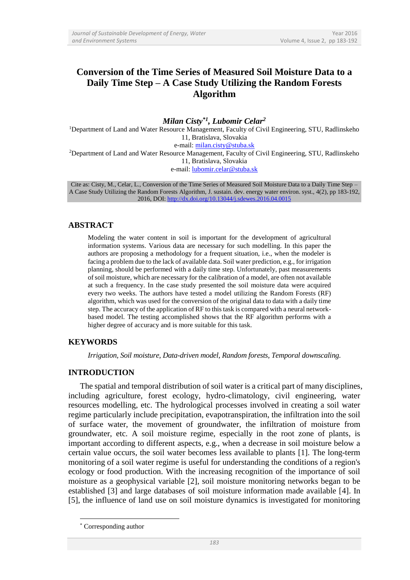# **Conversion of the Time Series of Measured Soil Moisture Data to a Daily Time Step – A Case Study Utilizing the Random Forests Algorithm**

*Milan Cisty\*1 , Lubomir Celar<sup>2</sup>* <sup>1</sup>Department of Land and Water Resource Management, Faculty of Civil Engineering, STU, Radlinskeho 11, Bratislava, Slovakia e-mail: [milan.cisty@stuba.sk](mailto:milan.cisty@stuba.sk) <sup>2</sup>Department of Land and Water Resource Management, Faculty of Civil Engineering, STU, Radlinskeho 11, Bratislava, Slovakia e-mail: [lubomir.celar@stuba.sk](mailto:lubomir.celar@stuba.sk)

Cite as: Cisty, M., Celar, L., Conversion of the Time Series of Measured Soil Moisture Data to a Daily Time Step – A Case Study Utilizing the Random Forests Algorithm, J. sustain. dev. energy water environ. syst., 4(2), pp 183-192, 2016, DOI:<http://dx.doi.org/10.13044/j.sdewes.2016.04.0015>

### **ABSTRACT**

Modeling the water content in soil is important for the development of agricultural information systems. Various data are necessary for such modelling. In this paper the authors are proposing a methodology for a frequent situation, i.e., when the modeler is facing a problem due to the lack of available data. Soil water prediction, e.g., for irrigation planning, should be performed with a daily time step. Unfortunately, past measurements of soil moisture, which are necessary for the calibration of a model, are often not available at such a frequency. In the case study presented the soil moisture data were acquired every two weeks. The authors have tested a model utilizing the Random Forests (RF) algorithm, which was used for the conversion of the original data to data with a daily time step. The accuracy of the application of RF to this task is compared with a neural networkbased model. The testing accomplished shows that the RF algorithm performs with a higher degree of accuracy and is more suitable for this task.

# **KEYWORDS**

*Irrigation, Soil moisture, Data-driven model, Random forests, Temporal downscaling.*

### **INTRODUCTION**

The spatial and temporal distribution of soil water is a critical part of many disciplines, including agriculture, forest ecology, hydro-climatology, civil engineering, water resources modelling, etc. The hydrological processes involved in creating a soil water regime particularly include precipitation, evapotranspiration, the infiltration into the soil of surface water, the movement of groundwater, the infiltration of moisture from groundwater, etc. A soil moisture regime, especially in the root zone of plants, is important according to different aspects, e.g., when a decrease in soil moisture below a certain value occurs, the soil water becomes less available to plants [1]. The long-term monitoring of a soil water regime is useful for understanding the conditions of a region's ecology or food production. With the increasing recognition of the importance of soil moisture as a geophysical variable [2], soil moisture monitoring networks began to be established [3] and large databases of soil moisture information made available [4]. In [5], the influence of land use on soil moisture dynamics is investigated for monitoring

1

Corresponding author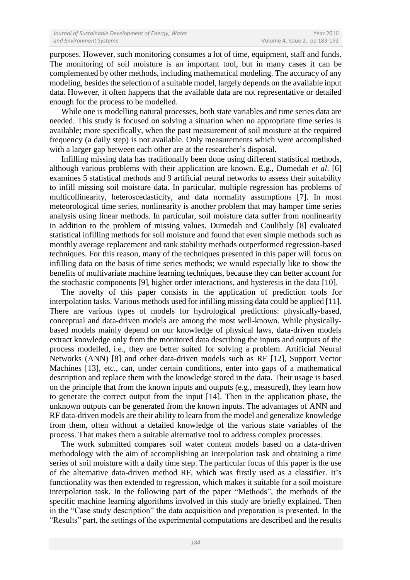purposes. However, such monitoring consumes a lot of time, equipment, staff and funds. The monitoring of soil moisture is an important tool, but in many cases it can be complemented by other methods, including mathematical modeling. The accuracy of any modeling, besides the selection of a suitable model, largely depends on the available input data. However, it often happens that the available data are not representative or detailed enough for the process to be modelled.

While one is modelling natural processes, both state variables and time series data are needed. This study is focused on solving a situation when no appropriate time series is available; more specifically, when the past measurement of soil moisture at the required frequency (a daily step) is not available. Only measurements which were accomplished with a larger gap between each other are at the researcher's disposal.

Infilling missing data has traditionally been done using different statistical methods, although various problems with their application are known. E.g., Dumedah *et al*. [6] examines 5 statistical methods and 9 artificial neural networks to assess their suitability to infill missing soil moisture data. In particular, multiple regression has problems of multicollinearity, heteroscedasticity, and data normality assumptions [7]. In most meteorological time series, nonlinearity is another problem that may hamper time series analysis using linear methods. In particular, soil moisture data suffer from nonlinearity in addition to the problem of missing values. Dumedah and Coulibaly [8] evaluated statistical infilling methods for soil moisture and found that even simple methods such as monthly average replacement and rank stability methods outperformed regression-based techniques. For this reason, many of the techniques presented in this paper will focus on infilling data on the basis of time series methods; we would especially like to show the benefits of multivariate machine learning techniques, because they can better account for the stochastic components [9], higher order interactions, and hysteresis in the data [10].

The novelty of this paper consists in the application of prediction tools for interpolation tasks. Various methods used for infilling missing data could be applied [11]. There are various types of models for hydrological predictions: physically-based, conceptual and data-driven models are among the most well-known. While physicallybased models mainly depend on our knowledge of physical laws, data-driven models extract knowledge only from the monitored data describing the inputs and outputs of the process modelled, i.e., they are better suited for solving a problem. Artificial Neural Networks (ANN) [8] and other data-driven models such as RF [12], Support Vector Machines [13], etc., can, under certain conditions, enter into gaps of a mathematical description and replace them with the knowledge stored in the data. Their usage is based on the principle that from the known inputs and outputs (e.g., measured), they learn how to generate the correct output from the input [14]. Then in the application phase, the unknown outputs can be generated from the known inputs. The advantages of ANN and RF data-driven models are their ability to learn from the model and generalize knowledge from them, often without a detailed knowledge of the various state variables of the process. That makes them a suitable alternative tool to address complex processes.

The work submitted compares soil water content models based on a data-driven methodology with the aim of accomplishing an interpolation task and obtaining a time series of soil moisture with a daily time step. The particular focus of this paper is the use of the alternative data-driven method RF, which was firstly used as a classifier. It's functionality was then extended to regression, which makes it suitable for a soil moisture interpolation task. In the following part of the paper "Methods", the methods of the specific machine learning algorithms involved in this study are briefly explained. Then in the "Case study description" the data acquisition and preparation is presented. In the "Results" part, the settings of the experimental computations are described and the results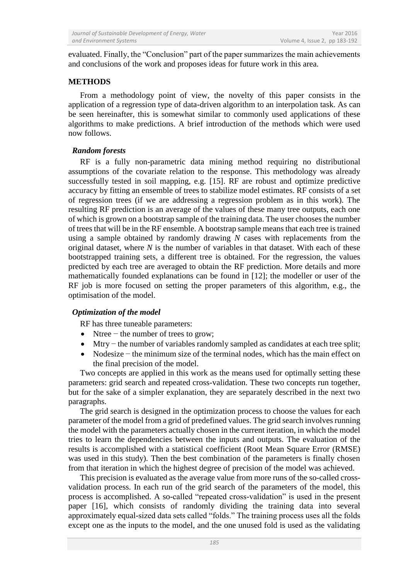evaluated. Finally, the "Conclusion" part of the paper summarizes the main achievements and conclusions of the work and proposes ideas for future work in this area.

# **METHODS**

From a methodology point of view, the novelty of this paper consists in the application of a regression type of data-driven algorithm to an interpolation task. As can be seen hereinafter, this is somewhat similar to commonly used applications of these algorithms to make predictions. A brief introduction of the methods which were used now follows.

## *Random forests*

RF is a fully non-parametric data mining method requiring no distributional assumptions of the covariate relation to the response. This methodology was already successfully tested in soil mapping, e.g. [15]. RF are robust and optimize predictive accuracy by fitting an ensemble of trees to stabilize model estimates. RF consists of a set of regression trees (if we are addressing a regression problem as in this work). The resulting RF prediction is an average of the values of these many tree outputs, each one of which is grown on a bootstrap sample of the training data. The user chooses the number of trees that will be in the RF ensemble. A bootstrap sample means that each tree is trained using a sample obtained by randomly drawing *N* cases with replacements from the original dataset, where *N* is the number of variables in that dataset. With each of these bootstrapped training sets, a different tree is obtained. For the regression, the values predicted by each tree are averaged to obtain the RF prediction. More details and more mathematically founded explanations can be found in [12]; the modeller or user of the RF job is more focused on setting the proper parameters of this algorithm, e.g., the optimisation of the model.

# *Optimization of the model*

RF has three tuneable parameters:

- Ntree − the number of trees to grow;
- Mtry − the number of variables randomly sampled as candidates at each tree split;
- Nodesize − the minimum size of the terminal nodes, which has the main effect on the final precision of the model.

Two concepts are applied in this work as the means used for optimally setting these parameters: grid search and repeated cross-validation. These two concepts run together, but for the sake of a simpler explanation, they are separately described in the next two paragraphs.

The grid search is designed in the optimization process to choose the values for each parameter of the model from a grid of predefined values. The grid search involves running the model with the parameters actually chosen in the current iteration, in which the model tries to learn the dependencies between the inputs and outputs. The evaluation of the results is accomplished with a statistical coefficient (Root Mean Square Error (RMSE) was used in this study). Then the best combination of the parameters is finally chosen from that iteration in which the highest degree of precision of the model was achieved.

This precision is evaluated as the average value from more runs of the so-called crossvalidation process. In each run of the grid search of the parameters of the model, this process is accomplished. A so-called "repeated cross-validation" is used in the present paper [16], which consists of randomly dividing the training data into several approximately equal-sized data sets called "folds." The training process uses all the folds except one as the inputs to the model, and the one unused fold is used as the validating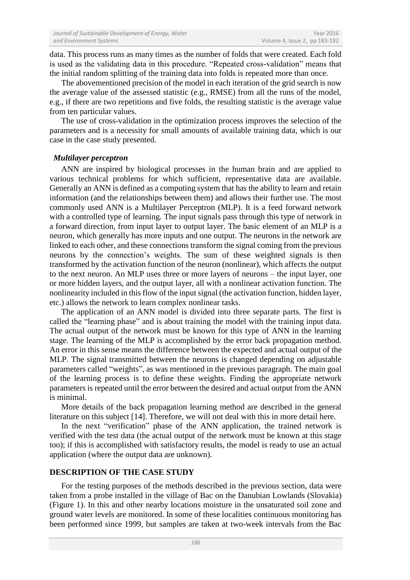data. This process runs as many times as the number of folds that were created. Each fold is used as the validating data in this procedure. "Repeated cross-validation" means that the initial random splitting of the training data into folds is repeated more than once.

The abovementioned precision of the model in each iteration of the grid search is now the average value of the assessed statistic (e.g., RMSE) from all the runs of the model, e.g., if there are two repetitions and five folds, the resulting statistic is the average value from ten particular values.

The use of cross-validation in the optimization process improves the selection of the parameters and is a necessity for small amounts of available training data, which is our case in the case study presented.

## *Multilayer perceptron*

ANN are inspired by biological processes in the human brain and are applied to various technical problems for which sufficient, representative data are available. Generally an ANN is defined as a computing system that has the ability to learn and retain information (and the relationships between them) and allows their further use. The most commonly used ANN is a Multilayer Perceptron (MLP). It is a feed forward network with a controlled type of learning. The input signals pass through this type of network in a forward direction, from input layer to output layer. The basic element of an MLP is a neuron, which generally has more inputs and one output. The neurons in the network are linked to each other, and these connections transform the signal coming from the previous neurons by the connection's weights. The sum of these weighted signals is then transformed by the activation function of the neuron (nonlinear), which affects the output to the next neuron. An MLP uses three or more layers of neurons – the input layer, one or more hidden layers, and the output layer, all with a nonlinear activation function. The nonlinearity included in this flow of the input signal (the activation function, hidden layer, etc.) allows the network to learn complex nonlinear tasks.

The application of an ANN model is divided into three separate parts. The first is called the "learning phase" and is about training the model with the training input data. The actual output of the network must be known for this type of ANN in the learning stage. The learning of the MLP is accomplished by the error back propagation method. An error in this sense means the difference between the expected and actual output of the MLP. The signal transmitted between the neurons is changed depending on adjustable parameters called "weights", as was mentioned in the previous paragraph. The main goal of the learning process is to define these weights. Finding the appropriate network parameters is repeated until the error between the desired and actual output from the ANN is minimal.

More details of the back propagation learning method are described in the general literature on this subject [14]. Therefore, we will not deal with this in more detail here.

In the next "verification" phase of the ANN application, the trained network is verified with the test data (the actual output of the network must be known at this stage too); if this is accomplished with satisfactory results, the model is ready to use an actual application (where the output data are unknown).

### **DESCRIPTION OF THE CASE STUDY**

For the testing purposes of the methods described in the previous section, data were taken from a probe installed in the village of Bac on the Danubian Lowlands (Slovakia) (Figure 1). In this and other nearby locations moisture in the unsaturated soil zone and ground water levels are monitored. In some of these localities continuous monitoring has been performed since 1999, but samples are taken at two-week intervals from the Bac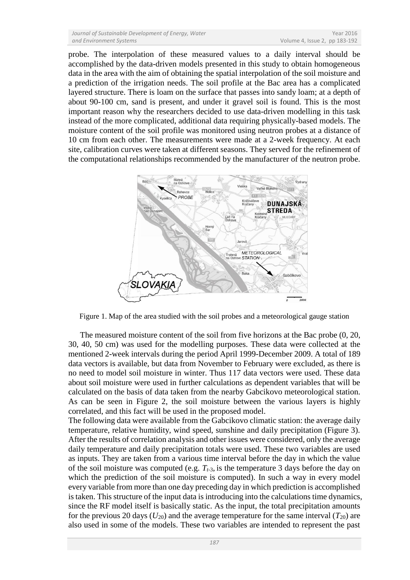probe. The interpolation of these measured values to a daily interval should be accomplished by the data-driven models presented in this study to obtain homogeneous data in the area with the aim of obtaining the spatial interpolation of the soil moisture and a prediction of the irrigation needs. The soil profile at the Bac area has a complicated layered structure. There is loam on the surface that passes into sandy loam; at a depth of about 90-100 cm, sand is present, and under it gravel soil is found. This is the most important reason why the researchers decided to use data-driven modelling in this task instead of the more complicated, additional data requiring physically-based models. The moisture content of the soil profile was monitored using neutron probes at a distance of 10 cm from each other. The measurements were made at a 2-week frequency. At each site, calibration curves were taken at different seasons. They served for the refinement of the computational relationships recommended by the manufacturer of the neutron probe.



Figure 1. Map of the area studied with the soil probes and a meteorological gauge station

The measured moisture content of the soil from five horizons at the Bac probe (0, 20, 30, 40, 50 cm) was used for the modelling purposes. These data were collected at the mentioned 2-week intervals during the period April 1999-December 2009. A total of 189 data vectors is available, but data from November to February were excluded, as there is no need to model soil moisture in winter. Thus 117 data vectors were used. These data about soil moisture were used in further calculations as dependent variables that will be calculated on the basis of data taken from the nearby Gabcikovo meteorological station. As can be seen in Figure 2, the soil moisture between the various layers is highly correlated, and this fact will be used in the proposed model.

The following data were available from the Gabcikovo climatic station: the average daily temperature, relative humidity, wind speed, sunshine and daily precipitation (Figure 3). After the results of correlation analysis and other issues were considered, only the average daily temperature and daily precipitation totals were used. These two variables are used as inputs. They are taken from a various time interval before the day in which the value of the soil moisture was computed (e.g. *Tt*-3, is the temperature 3 days before the day on which the prediction of the soil moisture is computed). In such a way in every model every variable from more than one day preceding day in which prediction is accomplished is taken. This structure of the input data is introducing into the calculations time dynamics, since the RF model itself is basically static. As the input, the total precipitation amounts for the previous 20 days ( $U_{20}$ ) and the average temperature for the same interval ( $T_{20}$ ) are also used in some of the models. These two variables are intended to represent the past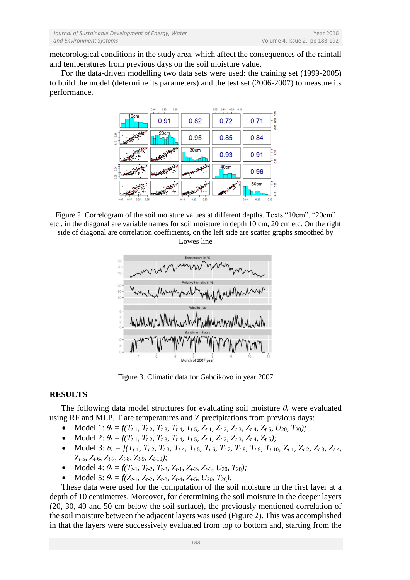meteorological conditions in the study area, which affect the consequences of the rainfall and temperatures from previous days on the soil moisture value.

For the data-driven modelling two data sets were used: the training set (1999-2005) to build the model (determine its parameters) and the test set (2006-2007) to measure its performance.



Figure 2. Correlogram of the soil moisture values at different depths. Texts "10cm", "20cm" etc., in the diagonal are variable names for soil moisture in depth 10 cm, 20 cm etc. On the right side of diagonal are correlation coefficients, on the left side are scatter graphs smoothed by Lowes line



Figure 3. Climatic data for Gabcikovo in year 2007

# **RESULTS**

The following data model structures for evaluating soil moisture  $\theta_t$  were evaluated using RF and MLP. T are temperatures and Z precipitations from previous days:

- Model 1:  $\theta_t = f(T_{t-1}, T_{t-2}, T_{t-3}, T_{t-4}, T_{t-5}, Z_{t-1}, Z_{t-2}, Z_{t-3}, Z_{t-4}, Z_{t-5}, U_{20}, T_{20});$
- Model 2:  $\theta_t = f(T_{t-1}, T_{t-2}, T_{t-3}, T_{t-4}, T_{t-5}, Z_{t-1}, Z_{t-2}, Z_{t-3}, Z_{t-4}, Z_{t-5})$ ;
- Model 3:  $\theta_t = f(T_{t-1}, T_{t-2}, T_{t-3}, T_{t-4}, T_{t-5}, T_{t-6}, T_{t-7}, T_{t-8}, T_{t-9}, T_{t-10}, Z_{t-1}, Z_{t-2}, Z_{t-3}, Z_{t-4},$ *Zt-*5*, Zt-*6*, Zt-*7*, Zt-*8*, Zt-*9*, Zt-*10*);*
- Model 4:  $\theta_t = f(T_{t-1}, T_{t-2}, T_{t-3}, Z_{t-1}, Z_{t-2}, Z_{t-3}, U_{20}, T_{20})$ ;
- Model 5:  $\theta_t = f(Z_{t-1}, Z_{t-2}, Z_{t-3}, Z_{t-4}, Z_{t-5}, U_{20}, T_{20})$ .

These data were used for the computation of the soil moisture in the first layer at a depth of 10 centimetres. Moreover, for determining the soil moisture in the deeper layers (20, 30, 40 and 50 cm below the soil surface), the previously mentioned correlation of the soil moisture between the adjacent layers was used (Figure 2). This was accomplished in that the layers were successively evaluated from top to bottom and, starting from the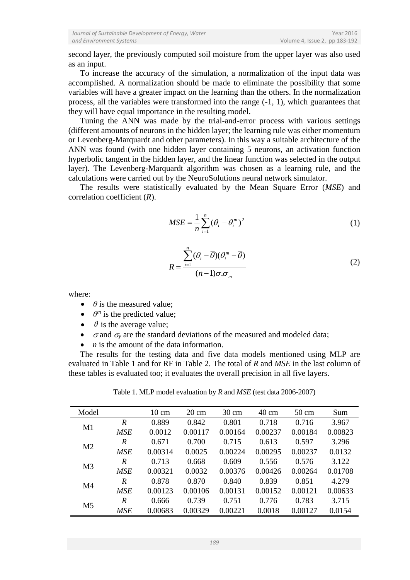second layer, the previously computed soil moisture from the upper layer was also used as an input.

To increase the accuracy of the simulation, a normalization of the input data was accomplished. A normalization should be made to eliminate the possibility that some variables will have a greater impact on the learning than the others. In the normalization process, all the variables were transformed into the range (-1, 1), which guarantees that they will have equal importance in the resulting model.

Tuning the ANN was made by the trial-and-error process with various settings (different amounts of neurons in the hidden layer; the learning rule was either momentum or Levenberg-Marquardt and other parameters). In this way a suitable architecture of the ANN was found (with one hidden layer containing 5 neurons, an activation function hyperbolic tangent in the hidden layer, and the linear function was selected in the output layer). The Levenberg-Marquardt algorithm was chosen as a learning rule, and the calculations were carried out by the NeuroSolutions neural network simulator.

The results were statistically evaluated by the Mean Square Error (*MSE*) and correlation coefficient (*R*).

$$
MSE = \frac{1}{n} \sum_{i=1}^{n} (\theta_i - \theta_i^m)^2
$$
 (1)

$$
R = \frac{\sum_{i=1}^{n} (\theta_i - \overline{\theta})(\theta_i^m - \overline{\theta})}{(n-1)\sigma.\sigma_m}
$$
 (2)

where:

- $\theta$  is the measured value;
- $\theta^m$  is the predicted value;
- $\bullet$   $\bar{\theta}$  is the average value;
- $\sigma$  and  $\sigma$ <sub>v</sub> are the standard deviations of the measured and modeled data;
- *n* is the amount of the data information.

The results for the testing data and five data models mentioned using MLP are evaluated in Table 1 and for RF in Table 2. The total of *R* and *MSE* in the last column of these tables is evaluated too; it evaluates the overall precision in all five layers.

| Model          |                  | $10 \text{ cm}$ | $20 \text{ cm}$ | $30 \text{ cm}$ | $40 \text{ cm}$ | $50 \text{ cm}$ | Sum     |
|----------------|------------------|-----------------|-----------------|-----------------|-----------------|-----------------|---------|
| M1             | R                | 0.889           | 0.842           | 0.801           | 0.718           | 0.716           | 3.967   |
|                | <b>MSE</b>       | 0.0012          | 0.00117         | 0.00164         | 0.00237         | 0.00184         | 0.00823 |
| M <sub>2</sub> | R                | 0.671           | 0.700           | 0.715           | 0.613           | 0.597           | 3.296   |
|                | <b>MSE</b>       | 0.00314         | 0.0025          | 0.00224         | 0.00295         | 0.00237         | 0.0132  |
| M <sub>3</sub> | $\mathbb{R}$     | 0.713           | 0.668           | 0.609           | 0.556           | 0.576           | 3.122   |
|                | <b>MSE</b>       | 0.00321         | 0.0032          | 0.00376         | 0.00426         | 0.00264         | 0.01708 |
| M4             | R                | 0.878           | 0.870           | 0.840           | 0.839           | 0.851           | 4.279   |
|                | <b>MSE</b>       | 0.00123         | 0.00106         | 0.00131         | 0.00152         | 0.00121         | 0.00633 |
| M <sub>5</sub> | $\boldsymbol{R}$ | 0.666           | 0.739           | 0.751           | 0.776           | 0.783           | 3.715   |
|                | <b>MSE</b>       | 0.00683         | 0.00329         | 0.00221         | 0.0018          | 0.00127         | 0.0154  |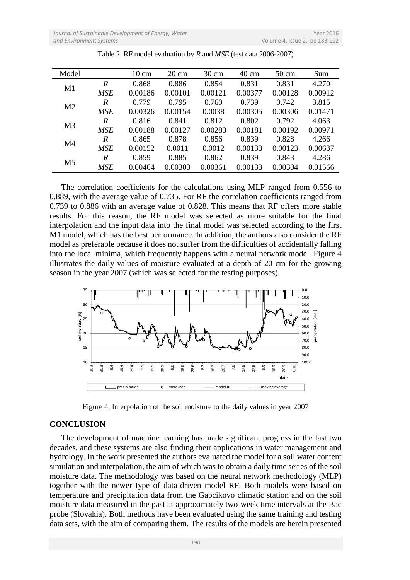| Model          |            | $10 \text{ cm}$ | $20 \text{ cm}$ | $30 \text{ cm}$ | $40 \text{ cm}$ | $50 \text{ cm}$ | Sum     |
|----------------|------------|-----------------|-----------------|-----------------|-----------------|-----------------|---------|
| M1             | R          | 0.868           | 0.886           | 0.854           | 0.831           | 0.831           | 4.270   |
|                | <b>MSE</b> | 0.00186         | 0.00101         | 0.00121         | 0.00377         | 0.00128         | 0.00912 |
| M <sub>2</sub> | R          | 0.779           | 0.795           | 0.760           | 0.739           | 0.742           | 3.815   |
|                | <b>MSE</b> | 0.00326         | 0.00154         | 0.0038          | 0.00305         | 0.00306         | 0.01471 |
| M <sub>3</sub> | R          | 0.816           | 0.841           | 0.812           | 0.802           | 0.792           | 4.063   |
|                | <b>MSE</b> | 0.00188         | 0.00127         | 0.00283         | 0.00181         | 0.00192         | 0.00971 |
| M4             | R          | 0.865           | 0.878           | 0.856           | 0.839           | 0.828           | 4.266   |
|                | <b>MSE</b> | 0.00152         | 0.0011          | 0.0012          | 0.00133         | 0.00123         | 0.00637 |
| M <sub>5</sub> | R          | 0.859           | 0.885           | 0.862           | 0.839           | 0.843           | 4.286   |
|                | <b>MSE</b> | 0.00464         | 0.00303         | 0.00361         | 0.00133         | 0.00304         | 0.01566 |

Table 2. RF model evaluation by *R* and *MSE* (test data 2006-2007)

The correlation coefficients for the calculations using MLP ranged from 0.556 to 0.889, with the average value of 0.735. For RF the correlation coefficients ranged from 0.739 to 0.886 with an average value of 0.828. This means that RF offers more stable results. For this reason, the RF model was selected as more suitable for the final interpolation and the input data into the final model was selected according to the first M1 model, which has the best performance. In addition, the authors also consider the RF model as preferable because it does not suffer from the difficulties of accidentally falling into the local minima, which frequently happens with a neural network model. Figure 4 illustrates the daily values of moisture evaluated at a depth of 20 cm for the growing season in the year 2007 (which was selected for the testing purposes).



Figure 4. Interpolation of the soil moisture to the daily values in year 2007

# **CONCLUSION**

The development of machine learning has made significant progress in the last two decades, and these systems are also finding their applications in water management and hydrology. In the work presented the authors evaluated the model for a soil water content simulation and interpolation, the aim of which was to obtain a daily time series of the soil moisture data. The methodology was based on the neural network methodology (MLP) together with the newer type of data-driven model RF. Both models were based on temperature and precipitation data from the Gabcikovo climatic station and on the soil moisture data measured in the past at approximately two-week time intervals at the Bac probe (Slovakia). Both methods have been evaluated using the same training and testing data sets, with the aim of comparing them. The results of the models are herein presented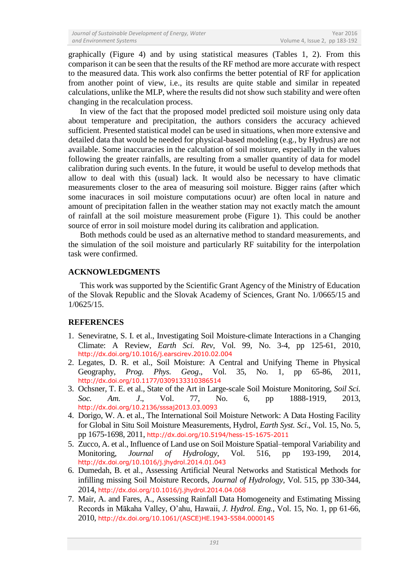graphically (Figure 4) and by using statistical measures (Tables 1, 2). From this comparison it can be seen that the results of the RF method are more accurate with respect to the measured data. This work also confirms the better potential of RF for application from another point of view, i.e., its results are quite stable and similar in repeated calculations, unlike the MLP, where the results did not show such stability and were often changing in the recalculation process.

In view of the fact that the proposed model predicted soil moisture using only data about temperature and precipitation, the authors considers the accuracy achieved sufficient. Presented statistical model can be used in situations, when more extensive and detailed data that would be needed for physical-based modeling (e.g., by Hydrus) are not available. Some inaccuracies in the calculation of soil moisture, especially in the values following the greater rainfalls, are resulting from a smaller quantity of data for model calibration during such events. In the future, it would be useful to develop methods that allow to deal with this (usual) lack. It would also be necessary to have climatic measurements closer to the area of measuring soil moisture. Bigger rains (after which some inacuraces in soil moisture computations ocuur) are often local in nature and amount of precipitation fallen in the weather station may not exactly match the amount of rainfall at the soil moisture measurement probe (Figure 1). This could be another source of error in soil moisture model during its calibration and application.

Both methods could be used as an alternative method to standard measurements, and the simulation of the soil moisture and particularly RF suitability for the interpolation task were confirmed.

# **ACKNOWLEDGMENTS**

This work was supported by the Scientific Grant Agency of the Ministry of Education of the Slovak Republic and the Slovak Academy of Sciences, Grant No. 1/0665/15 and 1/0625/15.

# **REFERENCES**

- 1. Seneviratne, S. I. et al., Investigating Soil Moisture-climate Interactions in a Changing Climate: A Review, *Earth Sci. Rev*, Vol. 99, No. 3-4, pp 125-61, 2010, <http://dx.doi.org/10.1016/j.earscirev.2010.02.004>
- 2. Legates, D. R. et al., Soil Moisture: A Central and Unifying Theme in Physical Geography, *Prog. Phys. Geog*., Vol. 35, No. 1, pp 65-86, 2011, <http://dx.doi.org/10.1177/0309133310386514>
- 3. Ochsner, T. E. et al., State of the Art in Large-scale Soil Moisture Monitoring, *Soil Sci. Soc. Am. J*., Vol. 77, No. 6, pp 1888-1919, 2013, <http://dx.doi.org/10.2136/sssaj2013.03.0093>
- 4. Dorigo, W. A. et al., The International Soil Moisture Network: A Data Hosting Facility for Global in Situ Soil Moisture Measurements, Hydrol, *Earth Syst. Sci*., Vol. 15, No. 5, pp 1675-1698, 2011, <http://dx.doi.org/10.5194/hess-15-1675-2011>
- 5. Zucco, A. et al., Influence of Land use on Soil Moisture Spatial–temporal Variability and Monitoring, *Journal of Hydrology*, Vol. 516, pp 193-199, 2014, <http://dx.doi.org/10.1016/j.jhydrol.2014.01.043>
- 6. Dumedah, B. et al., Assessing Artificial Neural Networks and Statistical Methods for infilling missing Soil Moisture Records, *Journal of Hydrology*, Vol. 515, pp 330-344, 2014, <http://dx.doi.org/10.1016/j.jhydrol.2014.04.068>
- 7. Mair, A. and Fares, A., Assessing Rainfall Data Homogeneity and Estimating Missing Records in Mākaha Valley, O'ahu, Hawaii, *J. Hydrol. Eng.*, Vol. 15, No. 1, pp 61-66, 2010, [http://dx.doi.org/10.1061/\(ASCE\)HE.1943-5584.0000145](http://dx.doi.org/10.1061/%28ASCE%29HE.1943-5584.0000145)